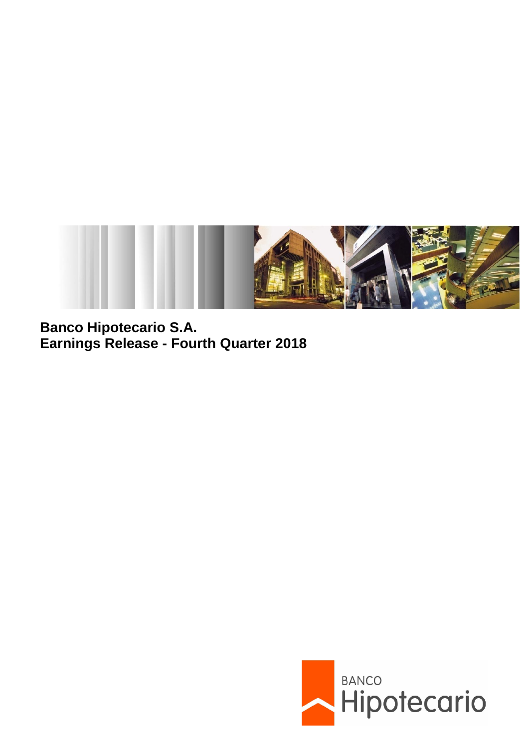

**Banco Hipotecario S.A. Earnings Release - Fourth Quarter 2018**

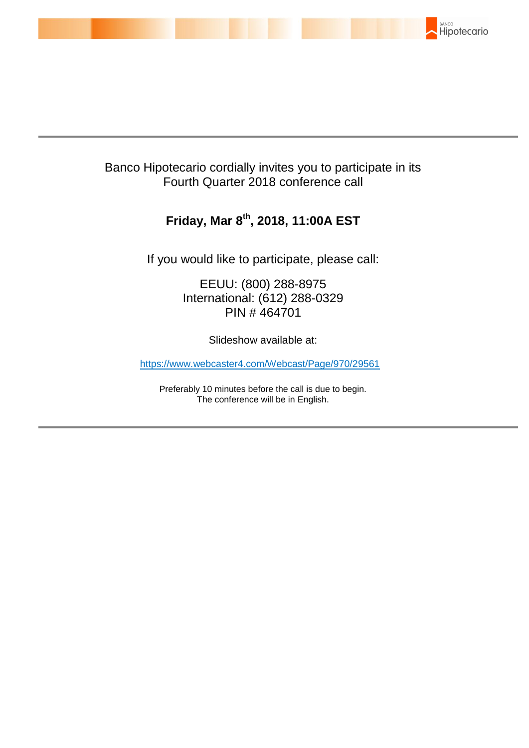

# Banco Hipotecario cordially invites you to participate in its Fourth Quarter 2018 conference call

# **Friday, Mar 8 th , 2018, 11:00A EST**

If you would like to participate, please call:

EEUU: (800) 288-8975 International: (612) 288-0329 PIN # 464701

Slideshow available at:

https://www.webcaster4.com/Webcast/Page/970/29561

Preferably 10 minutes before the call is due to begin. The conference will be in English.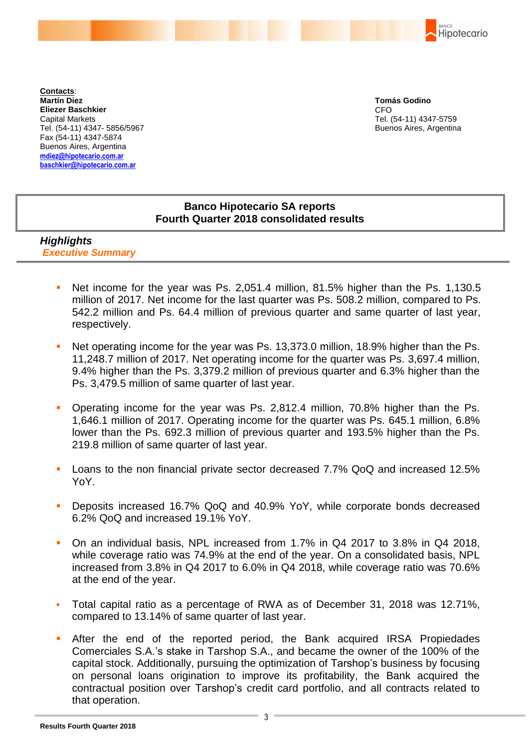BANCO Hipotecario

**Contacts**: **Martín Diez Eliezer Baschkier** Capital Markets Tel. (54-11) 4347- 5856/5967 Fax (54-11) 4347-5874 Buenos Aires, Argentina **mdiez@hipotecario.com.ar [baschkier@hipotecario.com.ar](mailto:baschkier@hipotecario.com.ar)**

**Tomás Godino** CFO Tel. (54-11) 4347-5759 Buenos Aires, Argentina

# **Banco Hipotecario SA reports Fourth Quarter 2018 consolidated results**

# *Highlights Executive Summary*

- Net income for the year was Ps. 2,051.4 million, 81.5% higher than the Ps. 1,130.5 million of 2017. Net income for the last quarter was Ps. 508.2 million, compared to Ps. 542.2 million and Ps. 64.4 million of previous quarter and same quarter of last year, respectively.
- Net operating income for the year was Ps. 13,373.0 million, 18.9% higher than the Ps. 11,248.7 million of 2017. Net operating income for the quarter was Ps. 3,697.4 million, 9.4% higher than the Ps. 3,379.2 million of previous quarter and 6.3% higher than the Ps. 3,479.5 million of same quarter of last year.
- Operating income for the year was Ps. 2,812.4 million, 70.8% higher than the Ps. 1,646.1 million of 2017. Operating income for the quarter was Ps. 645.1 million, 6.8% lower than the Ps. 692.3 million of previous quarter and 193.5% higher than the Ps. 219.8 million of same quarter of last year.
- Loans to the non financial private sector decreased 7.7% QoQ and increased 12.5% YoY.
- Deposits increased 16.7% QoQ and 40.9% YoY, while corporate bonds decreased 6.2% QoQ and increased 19.1% YoY.
- On an individual basis, NPL increased from 1.7% in Q4 2017 to 3.8% in Q4 2018, while coverage ratio was 74.9% at the end of the year. On a consolidated basis, NPL increased from 3.8% in Q4 2017 to 6.0% in Q4 2018, while coverage ratio was 70.6% at the end of the year.
- Total capital ratio as a percentage of RWA as of December 31, 2018 was 12.71%, compared to 13.14% of same quarter of last year.
- After the end of the reported period, the Bank acquired IRSA Propiedades Comerciales S.A.'s stake in Tarshop S.A., and became the owner of the 100% of the capital stock. Additionally, pursuing the optimization of Tarshop's business by focusing on personal loans origination to improve its profitability, the Bank acquired the contractual position over Tarshop's credit card portfolio, and all contracts related to that operation.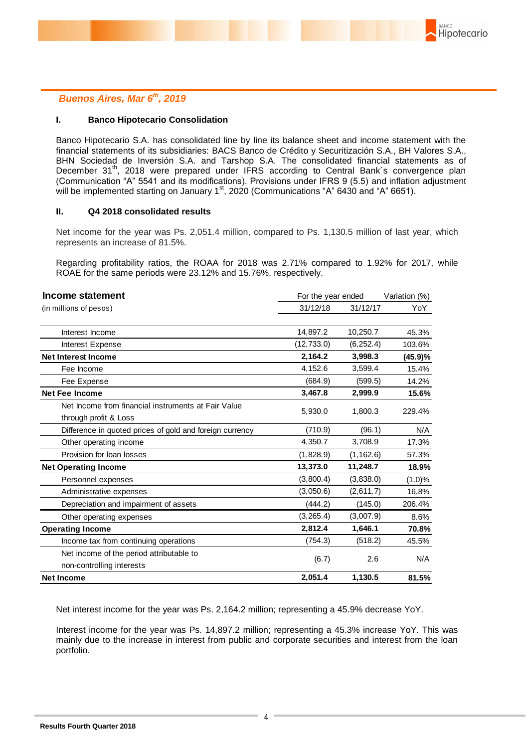

### *Buenos Aires, Mar 6 th, 2019*

#### **I. Banco Hipotecario Consolidation**

Banco Hipotecario S.A. has consolidated line by line its balance sheet and income statement with the financial statements of its subsidiaries: BACS Banco de Crédito y Securitización S.A., BH Valores S.A., BHN Sociedad de Inversión S.A. and Tarshop S.A. The consolidated financial statements as of December 31<sup>th</sup>, 2018 were prepared under IFRS according to Central Bank's convergence plan (Communication "A" 5541 and its modifications). Provisions under IFRS 9 (5.5) and inflation adjustment will be implemented starting on January  $1<sup>st</sup>$ , 2020 (Communications "A" 6430 and "A" 6651).

#### **II. Q4 2018 consolidated results**

Net income for the year was Ps. 2,051.4 million, compared to Ps. 1,130.5 million of last year, which represents an increase of 81.5%.

Regarding profitability ratios, the ROAA for 2018 was 2.71% compared to 1.92% for 2017, while ROAE for the same periods were 23.12% and 15.76%, respectively.

| Income statement                                                             | For the year ended |            | Variation (%) |  |
|------------------------------------------------------------------------------|--------------------|------------|---------------|--|
| (in millions of pesos)                                                       | 31/12/18           | 31/12/17   | YoY.          |  |
| Interest Income                                                              | 14,897.2           | 10,250.7   | 45.3%         |  |
| Interest Expense                                                             | (12, 733.0)        | (6, 252.4) | 103.6%        |  |
| <b>Net Interest Income</b>                                                   | 2,164.2            | 3,998.3    | (45.9)%       |  |
| Fee Income                                                                   | 4,152.6            | 3,599.4    | 15.4%         |  |
| Fee Expense                                                                  | (684.9)            | (599.5)    | 14.2%         |  |
| <b>Net Fee Income</b>                                                        | 3,467.8            | 2,999.9    | 15.6%         |  |
| Net Income from financial instruments at Fair Value<br>through profit & Loss | 5,930.0            | 1,800.3    | 229.4%        |  |
| Difference in quoted prices of gold and foreign currency                     | (710.9)            | (96.1)     | N/A           |  |
| Other operating income                                                       | 4,350.7            | 3,708.9    | 17.3%         |  |
| Provision for loan losses                                                    | (1,828.9)          | (1, 162.6) | 57.3%         |  |
| <b>Net Operating Income</b>                                                  | 13,373.0           | 11,248.7   | 18.9%         |  |
| Personnel expenses                                                           | (3,800.4)          | (3,838.0)  | (1.0)%        |  |
| Administrative expenses                                                      | (3,050.6)          | (2,611.7)  | 16.8%         |  |
| Depreciation and impairment of assets                                        | (444.2)            | (145.0)    | 206.4%        |  |
| Other operating expenses                                                     | (3, 265.4)         | (3,007.9)  | 8.6%          |  |
| <b>Operating Income</b>                                                      | 2,812.4            | 1,646.1    | 70.8%         |  |
| Income tax from continuing operations                                        | (754.3)            | (518.2)    | 45.5%         |  |
| Net income of the period attributable to<br>non-controlling interests        | (6.7)              | 2.6        | N/A           |  |
| <b>Net Income</b>                                                            | 2,051.4            | 1,130.5    | 81.5%         |  |

Net interest income for the year was Ps. 2,164.2 million; representing a 45.9% decrease YoY.

Interest income for the year was Ps. 14,897.2 million; representing a 45.3% increase YoY. This was mainly due to the increase in interest from public and corporate securities and interest from the loan portfolio.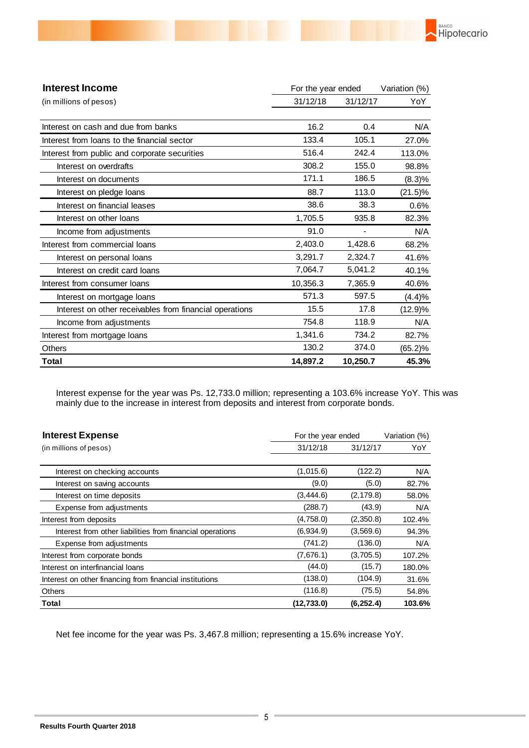| <b>Interest Income</b>                                  | For the year ended |          | Variation (%) |  |
|---------------------------------------------------------|--------------------|----------|---------------|--|
| (in millions of pesos)                                  | 31/12/18           | 31/12/17 | YoY           |  |
| Interest on cash and due from banks                     | 16.2               | 0.4      | N/A           |  |
| Interest from loans to the financial sector             | 133.4              | 105.1    | 27.0%         |  |
| Interest from public and corporate securities           | 516.4              | 242.4    | 113.0%        |  |
| Interest on overdrafts                                  | 308.2              | 155.0    | 98.8%         |  |
| Interest on documents                                   | 171.1              | 186.5    | (8.3)%        |  |
| Interest on pledge loans                                | 88.7               | 113.0    | $(21.5)\%$    |  |
| Interest on financial leases                            | 38.6               | 38.3     | 0.6%          |  |
| Interest on other loans                                 | 1,705.5            | 935.8    | 82.3%         |  |
| Income from adjustments                                 | 91.0               |          | N/A           |  |
| Interest from commercial loans                          | 2,403.0            | 1,428.6  | 68.2%         |  |
| Interest on personal loans                              | 3,291.7            | 2,324.7  | 41.6%         |  |
| Interest on credit card loans                           | 7,064.7            | 5,041.2  | 40.1%         |  |
| Interest from consumer loans                            | 10,356.3           | 7,365.9  | 40.6%         |  |
| Interest on mortgage loans                              | 571.3              | 597.5    | (4.4)%        |  |
| Interest on other receivables from financial operations | 15.5               | 17.8     | (12.9)%       |  |
| Income from adjustments                                 | 754.8              | 118.9    | N/A           |  |
| Interest from mortgage loans                            | 1,341.6            | 734.2    | 82.7%         |  |
| <b>Others</b>                                           | 130.2              | 374.0    | (65.2)%       |  |
| Total                                                   | 14,897.2           | 10,250.7 | 45.3%         |  |

**BANCO** 

Hipotecario

Interest expense for the year was Ps. 12,733.0 million; representing a 103.6% increase YoY. This was mainly due to the increase in interest from deposits and interest from corporate bonds.

| <b>Interest Expense</b>                                   | For the year ended |            | Variation (%) |  |
|-----------------------------------------------------------|--------------------|------------|---------------|--|
| (in millions of pesos)                                    | 31/12/18           | 31/12/17   | YoY           |  |
|                                                           |                    |            |               |  |
| Interest on checking accounts                             | (1,015.6)          | (122.2)    | N/A           |  |
| Interest on saving accounts                               | (9.0)              | (5.0)      | 82.7%         |  |
| Interest on time deposits                                 | (3,444.6)          | (2, 179.8) | 58.0%         |  |
| Expense from adjustments                                  | (288.7)            | (43.9)     | N/A           |  |
| Interest from deposits                                    | (4,758.0)          | (2,350.8)  | 102.4%        |  |
| Interest from other liabilities from financial operations | (6,934.9)          | (3,569.6)  | 94.3%         |  |
| Expense from adjustments                                  | (741.2)            | (136.0)    | N/A           |  |
| Interest from corporate bonds                             | (7,676.1)          | (3,705.5)  | 107.2%        |  |
| Interest on interfinancial loans                          | (44.0)             | (15.7)     | 180.0%        |  |
| Interest on other financing from financial institutions   | (138.0)            | (104.9)    | 31.6%         |  |
| <b>Others</b>                                             | (116.8)            | (75.5)     | 54.8%         |  |
| Total                                                     | (12, 733.0)        | (6, 252.4) | 103.6%        |  |

Net fee income for the year was Ps. 3,467.8 million; representing a 15.6% increase YoY.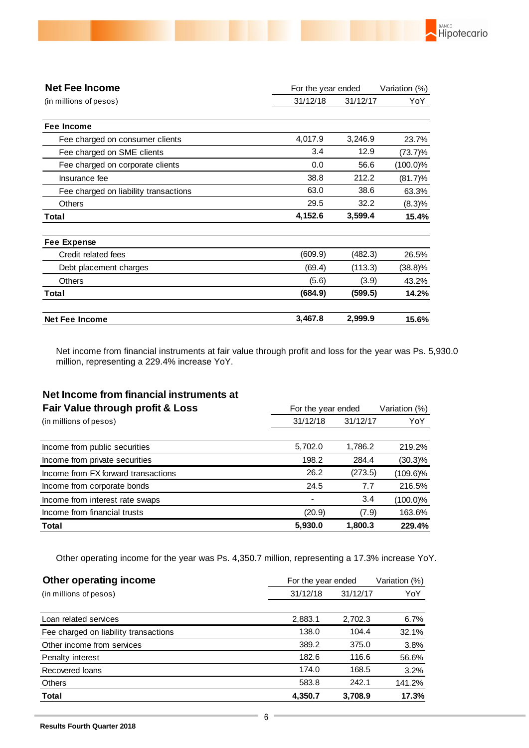

BANCO

Hipotecario

Net income from financial instruments at fair value through profit and loss for the year was Ps. 5,930.0 million, representing a 229.4% increase YoY.

# **Net Income from financial instruments at**

| Fair Value through profit & Loss    | For the year ended | Variation (%) |             |
|-------------------------------------|--------------------|---------------|-------------|
| (in millions of pesos)              | 31/12/18           | 31/12/17      | YoY         |
|                                     |                    |               |             |
| Income from public securities       | 5,702.0            | 1,786.2       | 219.2%      |
| Income from private securities      | 198.2              | 284.4         | $(30.3)\%$  |
| Income from FX forward transactions | 26.2               | (273.5)       | (109.6)%    |
| Income from corporate bonds         | 24.5               | 7.7           | 216.5%      |
| Income from interest rate swaps     |                    | 3.4           | $(100.0)\%$ |
| Income from financial trusts        | (20.9)             | (7.9)         | 163.6%      |
| <b>Total</b>                        | 5,930.0            | 1.800.3       | 229.4%      |

Other operating income for the year was Ps. 4,350.7 million, representing a 17.3% increase YoY.

| Other operating income                | For the year ended | Variation (%) |        |
|---------------------------------------|--------------------|---------------|--------|
| (in millions of pesos)                | 31/12/18           | 31/12/17      | YoY    |
|                                       |                    |               |        |
| Loan related services                 | 2,883.1            | 2,702.3       | 6.7%   |
| Fee charged on liability transactions | 138.0              | 104.4         | 32.1%  |
| Other income from services            | 389.2              | 375.0         | 3.8%   |
| Penalty interest                      | 182.6              | 116.6         | 56.6%  |
| Recovered loans                       | 174.0              | 168.5         | 3.2%   |
| <b>Others</b>                         | 583.8              | 242.1         | 141.2% |
| <b>Total</b>                          | 4.350.7            | 3.708.9       | 17.3%  |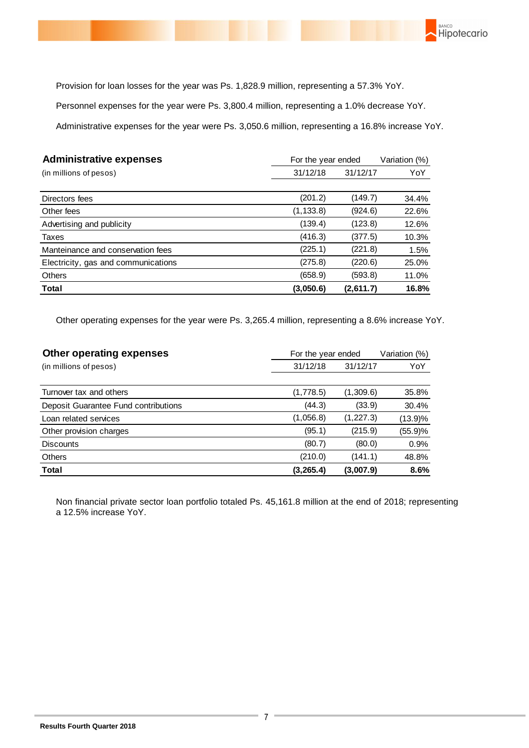

Provision for loan losses for the year was Ps. 1,828.9 million, representing a 57.3% YoY.

Personnel expenses for the year were Ps. 3,800.4 million, representing a 1.0% decrease YoY.

Administrative expenses for the year were Ps. 3,050.6 million, representing a 16.8% increase YoY.

| <b>Administrative expenses</b>      | For the year ended | Variation (%) |       |
|-------------------------------------|--------------------|---------------|-------|
| (in millions of pesos)              | 31/12/18           | 31/12/17      | YoY   |
|                                     |                    |               |       |
| Directors fees                      | (201.2)            | (149.7)       | 34.4% |
| Other fees                          | (1, 133.8)         | (924.6)       | 22.6% |
| Advertising and publicity           | (139.4)            | (123.8)       | 12.6% |
| Taxes                               | (416.3)            | (377.5)       | 10.3% |
| Manteinance and conservation fees   | (225.1)            | (221.8)       | 1.5%  |
| Electricity, gas and communications | (275.8)            | (220.6)       | 25.0% |
| <b>Others</b>                       | (658.9)            | (593.8)       | 11.0% |
| <b>Total</b>                        | (3,050.6)          | (2,611.7)     | 16.8% |

Other operating expenses for the year were Ps. 3,265.4 million, representing a 8.6% increase YoY.

| Other operating expenses             | For the year ended | Variation (%) |         |
|--------------------------------------|--------------------|---------------|---------|
| (in millions of pesos)               | 31/12/18           | 31/12/17      | YoY     |
|                                      |                    |               |         |
| Turnover tax and others              | (1,778.5)          | (1,309.6)     | 35.8%   |
| Deposit Guarantee Fund contributions | (44.3)             | (33.9)        | 30.4%   |
| Loan related services                | (1,056.8)          | (1, 227.3)    | (13.9)% |
| Other provision charges              | (95.1)             | (215.9)       | (55.9)% |
| <b>Discounts</b>                     | (80.7)             | (80.0)        | 0.9%    |
| <b>Others</b>                        | (210.0)            | (141.1)       | 48.8%   |
| <b>Total</b>                         | (3,265.4)          | (3,007.9)     | 8.6%    |

Non financial private sector loan portfolio totaled Ps. 45,161.8 million at the end of 2018; representing a 12.5% increase YoY.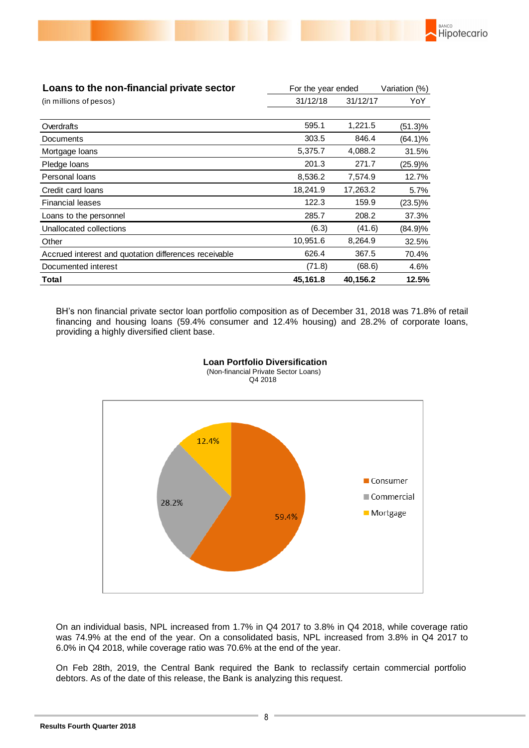

BH's non financial private sector loan portfolio composition as of December 31, 2018 was 71.8% of retail financing and housing loans (59.4% consumer and 12.4% housing) and 28.2% of corporate loans, providing a highly diversified client base.

BANCO

Hipotecario



#### **Loan Portfolio Diversification** (Non-financial Private Sector Loans) Q4 2018

On an individual basis, NPL increased from 1.7% in Q4 2017 to 3.8% in Q4 2018, while coverage ratio was 74.9% at the end of the year. On a consolidated basis, NPL increased from 3.8% in Q4 2017 to 6.0% in Q4 2018, while coverage ratio was 70.6% at the end of the year.

On Feb 28th, 2019, the Central Bank required the Bank to reclassify certain commercial portfolio debtors. As of the date of this release, the Bank is analyzing this request.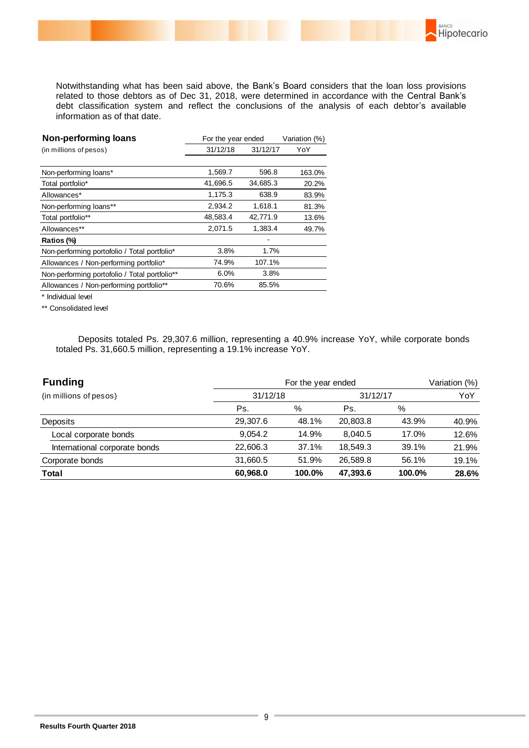Notwithstanding what has been said above, the Bank's Board considers that the loan loss provisions related to those debtors as of Dec 31, 2018, were determined in accordance with the Central Bank's debt classification system and reflect the conclusions of the analysis of each debtor's available information as of that date.

**BANCO** 

Hipotecario

| Non-performing loans                          | For the year ended |          | Variation (%) |  |
|-----------------------------------------------|--------------------|----------|---------------|--|
| (in millions of pesos)                        | 31/12/18           | 31/12/17 | YoY           |  |
|                                               |                    |          |               |  |
| Non-performing loans*                         | 1,569.7            | 596.8    | 163.0%        |  |
| Total portfolio*                              | 41,696.5           | 34,685.3 | 20.2%         |  |
| Allowances*                                   | 1,175.3            | 638.9    | 83.9%         |  |
| Non-performing loans**                        | 2.934.2            | 1,618.1  | 81.3%         |  |
| Total portfolio**                             | 48,583.4           | 42,771.9 | 13.6%         |  |
| Allowances**                                  | 2,071.5            | 1,383.4  | 49.7%         |  |
| Ratios (%)                                    |                    |          |               |  |
| Non-performing portofolio / Total portfolio*  | 3.8%               | 1.7%     |               |  |
| Allowances / Non-performing portfolio*        | 74.9%              | 107.1%   |               |  |
| Non-performing portofolio / Total portfolio** | 6.0%               | 3.8%     |               |  |
| Allowances / Non-performing portfolio**       | 70.6%              | 85.5%    |               |  |
|                                               |                    |          |               |  |

\* Individual level

\*\* Consolidated level

 Deposits totaled Ps. 29,307.6 million, representing a 40.9% increase YoY, while corporate bonds totaled Ps. 31,660.5 million, representing a 19.1% increase YoY.

| <b>Funding</b>                | For the year ended |        |          |        | Variation (%) |
|-------------------------------|--------------------|--------|----------|--------|---------------|
| (in millions of pesos)        | 31/12/18           |        | 31/12/17 |        | YoY           |
|                               | Ps.                | %      | Ps.      | %      |               |
| Deposits                      | 29,307.6           | 48.1%  | 20,803.8 | 43.9%  | 40.9%         |
| Local corporate bonds         | 9.054.2            | 14.9%  | 8.040.5  | 17.0%  | 12.6%         |
| International corporate bonds | 22,606.3           | 37.1%  | 18,549.3 | 39.1%  | 21.9%         |
| Corporate bonds               | 31,660.5           | 51.9%  | 26,589.8 | 56.1%  | 19.1%         |
| <b>Total</b>                  | 60,968.0           | 100.0% | 47,393.6 | 100.0% | 28.6%         |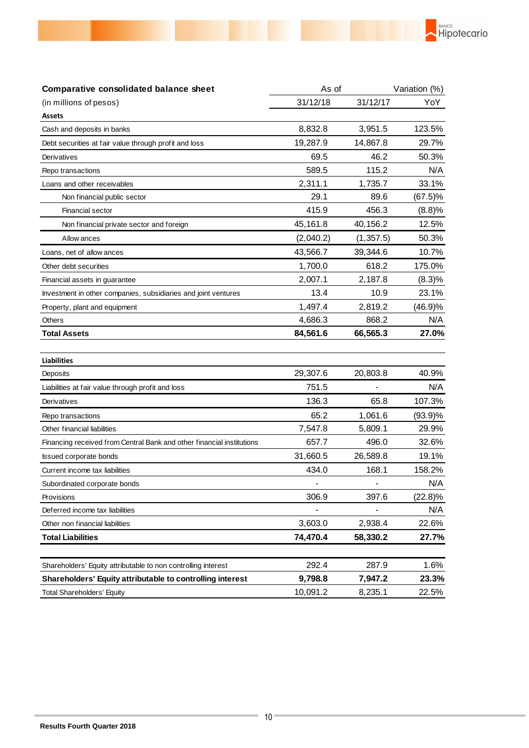

| Comparative consolidated balance sheet                                | As of     |            | Variation (%) |  |
|-----------------------------------------------------------------------|-----------|------------|---------------|--|
| (in millions of pesos)                                                | 31/12/18  | 31/12/17   | YoY           |  |
| <b>Assets</b>                                                         |           |            |               |  |
| Cash and deposits in banks                                            | 8,832.8   | 3,951.5    | 123.5%        |  |
| Debt securities at fair value through profit and loss                 | 19,287.9  | 14,867.8   | 29.7%         |  |
| Derivatives                                                           | 69.5      | 46.2       | 50.3%         |  |
| Repo transactions                                                     | 589.5     | 115.2      | N/A           |  |
| Loans and other receivables                                           | 2,311.1   | 1,735.7    | 33.1%         |  |
| Non financial public sector                                           | 29.1      | 89.6       | $(67.5)\%$    |  |
| Financial sector                                                      | 415.9     | 456.3      | (8.8)%        |  |
| Non financial private sector and foreign                              | 45,161.8  | 40,156.2   | 12.5%         |  |
| Allow ances                                                           | (2,040.2) | (1, 357.5) | 50.3%         |  |
| Loans, net of allow ances                                             | 43,566.7  | 39,344.6   | 10.7%         |  |
| Other debt securities                                                 | 1,700.0   | 618.2      | 175.0%        |  |
| Financial assets in guarantee                                         | 2,007.1   | 2,187.8    | (8.3)%        |  |
| Investment in other companies, subsidiaries and joint ventures        | 13.4      | 10.9       | 23.1%         |  |
| Property, plant and equipment                                         | 1,497.4   | 2,819.2    | (46.9)%       |  |
| Others                                                                | 4,686.3   | 868.2      | N/A           |  |
| <b>Total Assets</b>                                                   | 84,561.6  | 66,565.3   | 27.0%         |  |
|                                                                       |           |            |               |  |
| <b>Liabilities</b>                                                    |           |            |               |  |
| Deposits                                                              | 29,307.6  | 20,803.8   | 40.9%         |  |
| Liabilities at fair value through profit and loss                     | 751.5     |            | N/A           |  |
| Derivatives                                                           | 136.3     | 65.8       | 107.3%        |  |
| Repo transactions                                                     | 65.2      | 1,061.6    | $(93.9)\%$    |  |
| Other financial liabilities                                           | 7,547.8   | 5,809.1    | 29.9%         |  |
| Financing received from Central Bank and other financial institutions | 657.7     | 496.0      | 32.6%         |  |
| <b>Issued corporate bonds</b>                                         | 31,660.5  | 26,589.8   | 19.1%         |  |
| Current income tax liabilities                                        | 434.0     | 168.1      | 158.2%        |  |
| Subordinated corporate bonds                                          |           |            | N/A           |  |
| Provisions                                                            | 306.9     | 397.6      | $(22.8)\%$    |  |
| Deferred income tax liabilities                                       |           |            | N/A           |  |
| Other non financial liabilities                                       | 3,603.0   | 2,938.4    | 22.6%         |  |
| <b>Total Liabilities</b>                                              | 74,470.4  | 58,330.2   | 27.7%         |  |
|                                                                       |           |            |               |  |
| Shareholders' Equity attributable to non controlling interest         | 292.4     | 287.9      | 1.6%          |  |
| Shareholders' Equity attributable to controlling interest             | 9,798.8   | 7,947.2    | 23.3%         |  |
| <b>Total Shareholders' Equity</b>                                     | 10,091.2  | 8,235.1    | 22.5%         |  |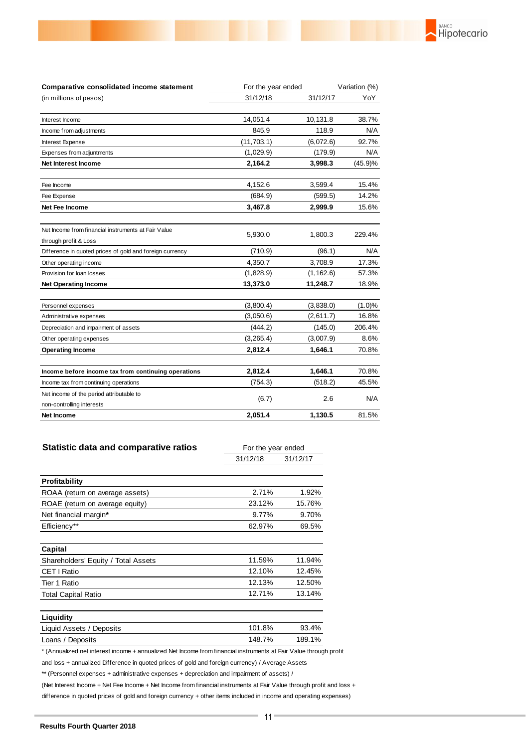

| Comparative consolidated income statement                                    | For the year ended |            | Variation (%) |
|------------------------------------------------------------------------------|--------------------|------------|---------------|
| (in millions of pesos)                                                       | 31/12/18           | 31/12/17   | YoY           |
| Interest Income                                                              | 14,051.4           | 10,131.8   | 38.7%         |
| Income from adjustments                                                      | 845.9              | 118.9      | N/A           |
| Interest Expense                                                             | (11, 703.1)        | (6,072.6)  | 92.7%         |
| Expenses from adjuntments                                                    | (1,029.9)          | (179.9)    | N/A           |
| <b>Net Interest Income</b>                                                   | 2,164.2            | 3,998.3    | (45.9)%       |
| Fee Income                                                                   | 4,152.6            | 3,599.4    | 15.4%         |
| Fee Expense                                                                  | (684.9)            | (599.5)    | 14.2%         |
| Net Fee Income                                                               | 3,467.8            | 2,999.9    | 15.6%         |
| Net Income from financial instruments at Fair Value<br>through profit & Loss | 5,930.0            | 1,800.3    | 229.4%        |
| Difference in quoted prices of gold and foreign currency                     | (710.9)            | (96.1)     | N/A           |
| Other operating income                                                       | 4,350.7            | 3,708.9    | 17.3%         |
| Provision for loan losses                                                    | (1,828.9)          | (1, 162.6) | 57.3%         |
| <b>Net Operating Income</b>                                                  | 13,373.0           | 11,248.7   | 18.9%         |
| Personnel expenses                                                           | (3,800.4)          | (3,838.0)  | (1.0)%        |
| Administrative expenses                                                      | (3,050.6)          | (2,611.7)  | 16.8%         |
| Depreciation and impairment of assets                                        | (444.2)            | (145.0)    | 206.4%        |
| Other operating expenses                                                     | (3,265.4)          | (3,007.9)  | 8.6%          |
| <b>Operating Income</b>                                                      | 2,812.4            | 1,646.1    | 70.8%         |
| Income before income tax from continuing operations                          | 2,812.4            | 1,646.1    | 70.8%         |
| Income tax from continuing operations                                        | (754.3)            | (518.2)    | 45.5%         |
| Net income of the period attributable to                                     | (6.7)              | 2.6        | N/A           |
| non-controlling interests<br>Net Income                                      | 2.051.4            | 1,130.5    | 81.5%         |

| <b>Statistic data and comparative ratios</b> | For the year ended |          |
|----------------------------------------------|--------------------|----------|
|                                              | 31/12/18           | 31/12/17 |
|                                              |                    |          |
| Profitability                                |                    |          |
| ROAA (return on average assets)              | 2.71%              | 1.92%    |
| ROAE (return on average equity)              | 23.12%             | 15.76%   |
| Net financial margin*                        | 9.77%              | 9.70%    |
| Efficiency**                                 | 62.97%             | 69.5%    |
|                                              |                    |          |
| Capital                                      |                    |          |
| Shareholders' Equity / Total Assets          | 11.59%             | 11.94%   |
| CET   Ratio                                  | 12.10%             | 12.45%   |
| Tier 1 Ratio                                 | 12.13%             | 12.50%   |
| <b>Total Capital Ratio</b>                   | 12.71%             | 13.14%   |
|                                              |                    |          |
| Liquidity                                    |                    |          |

| Liquid Assets / Deposits | 101.8% | 93.4%  |
|--------------------------|--------|--------|
| Loans / Deposits         | 148.7% | 189.1% |

\* (Annualized net interest income + annualized Net Income from financial instruments at Fair Value through profit

and loss + annualized Difference in quoted prices of gold and foreign currency) / Average Assets

\*\* (Personnel expenses + administrative expenses + depreciation and impairment of assets) /

(Net Interest Income + Net Fee Income + Net Income from financial instruments at Fair Value through profit and loss + difference in quoted prices of gold and foreign currency + other items included in income and operating expenses)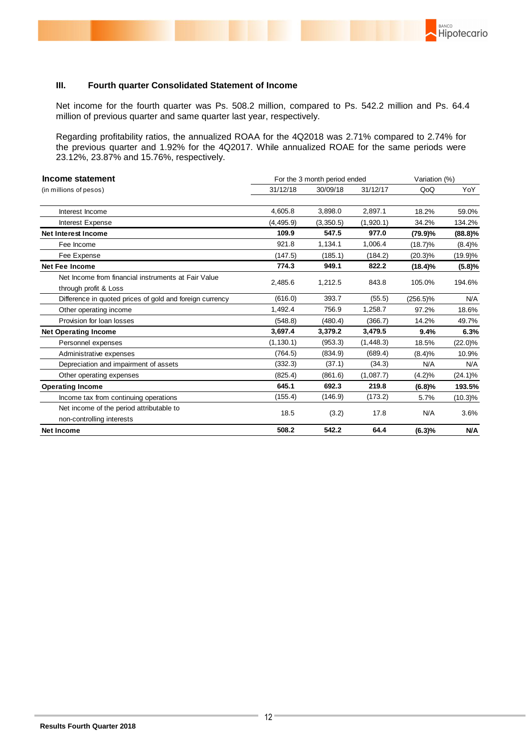### **III. Fourth quarter Consolidated Statement of Income**

Net income for the fourth quarter was Ps. 508.2 million, compared to Ps. 542.2 million and Ps. 64.4 million of previous quarter and same quarter last year, respectively.

BANCO

Hipotecario

Regarding profitability ratios, the annualized ROAA for the 4Q2018 was 2.71% compared to 2.74% for the previous quarter and 1.92% for the 4Q2017. While annualized ROAE for the same periods were 23.12%, 23.87% and 15.76%, respectively.

| Income statement                                                             | For the 3 month period ended |           |            | Variation (%) |            |
|------------------------------------------------------------------------------|------------------------------|-----------|------------|---------------|------------|
| (in millions of pesos)                                                       | 31/12/18                     | 30/09/18  | 31/12/17   | QoQ           | YoY        |
| Interest Income                                                              | 4,605.8                      | 3,898.0   | 2,897.1    | 18.2%         | 59.0%      |
| Interest Expense                                                             | (4, 495.9)                   | (3,350.5) | (1,920.1)  | 34.2%         | 134.2%     |
| <b>Net Interest Income</b>                                                   | 109.9                        | 547.5     | 977.0      | (79.9)%       | (88.8)%    |
| Fee Income                                                                   | 921.8                        | 1,134.1   | 1,006.4    | $(18.7)\%$    | (8.4)%     |
| Fee Expense                                                                  | (147.5)                      | (185.1)   | (184.2)    | $(20.3)\%$    | (19.9)%    |
| <b>Net Fee Income</b>                                                        | 774.3                        | 949.1     | 822.2      | $(18.4)\%$    | (5.8)%     |
| Net Income from financial instruments at Fair Value<br>through profit & Loss | 2,485.6                      | 1,212.5   | 843.8      | 105.0%        | 194.6%     |
| Difference in quoted prices of gold and foreign currency                     | (616.0)                      | 393.7     | (55.5)     | $(256.5)\%$   | N/A        |
| Other operating income                                                       | 1,492.4                      | 756.9     | 1,258.7    | 97.2%         | 18.6%      |
| Provision for loan losses                                                    | (548.8)                      | (480.4)   | (366.7)    | 14.2%         | 49.7%      |
| <b>Net Operating Income</b>                                                  | 3,697.4                      | 3,379.2   | 3,479.5    | 9.4%          | 6.3%       |
| Personnel expenses                                                           | (1, 130.1)                   | (953.3)   | (1, 448.3) | 18.5%         | $(22.0)\%$ |
| Administrative expenses                                                      | (764.5)                      | (834.9)   | (689.4)    | (8.4)%        | 10.9%      |
| Depreciation and impairment of assets                                        | (332.3)                      | (37.1)    | (34.3)     | N/A           | N/A        |
| Other operating expenses                                                     | (825.4)                      | (861.6)   | (1,087.7)  | $(4.2)\%$     | $(24.1)\%$ |
| <b>Operating Income</b>                                                      | 645.1                        | 692.3     | 219.8      | (6.8)%        | 193.5%     |
| Income tax from continuing operations                                        | (155.4)                      | (146.9)   | (173.2)    | 5.7%          | $(10.3)\%$ |
| Net income of the period attributable to<br>non-controlling interests        | 18.5                         | (3.2)     | 17.8       | N/A           | 3.6%       |
| <b>Net Income</b>                                                            | 508.2                        | 542.2     | 64.4       | (6.3)%        | N/A        |